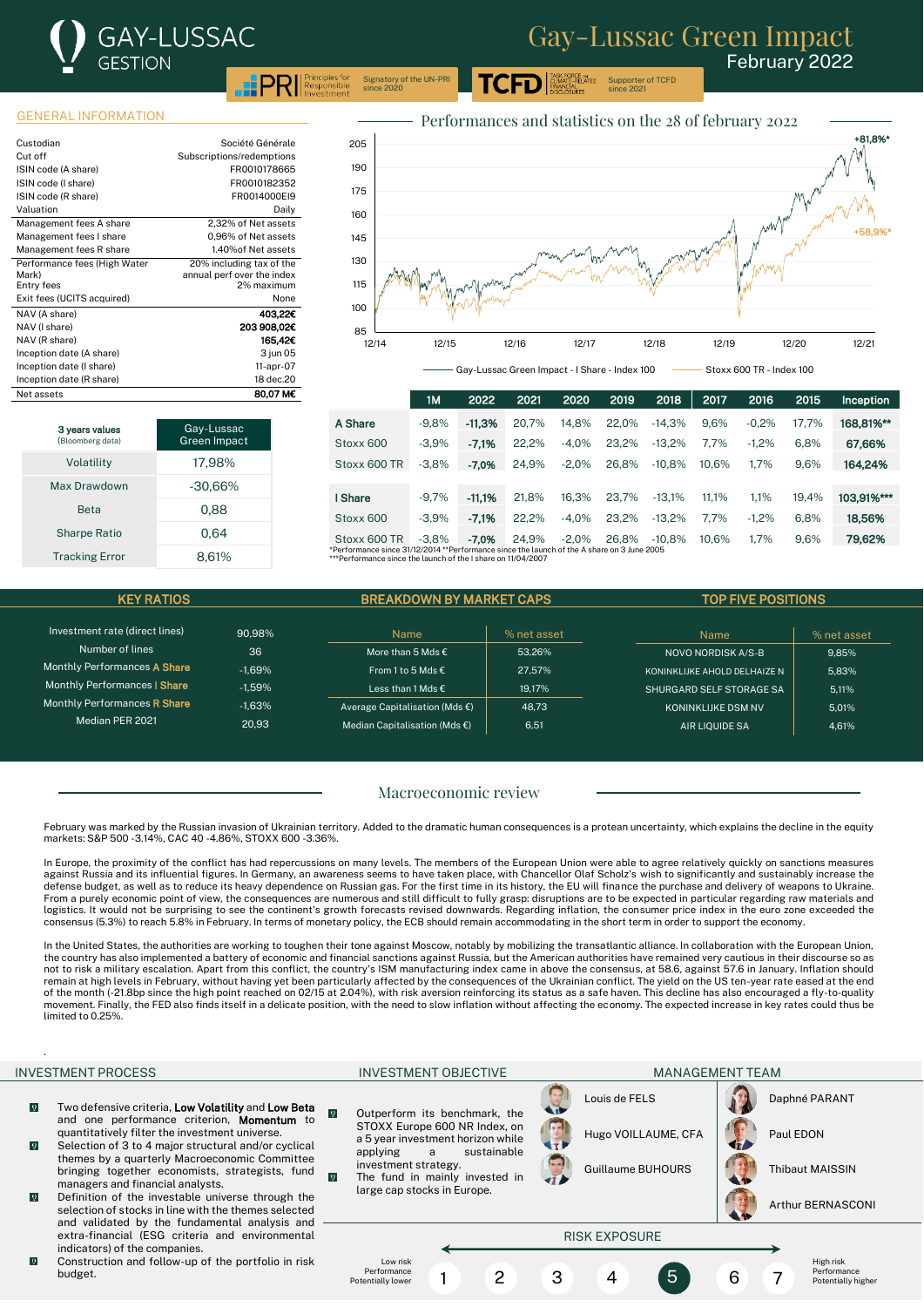

Supporter of TCFD since 2021

ASK FORCE o<mark>n</mark><br>LIMATE-RELATED

 $\text{PRI}$   $\text{PPSD}$ Signatory of the UN-PRI since 2020

### GENERAL INFORMATION

3 years values omberg data

| Custodian                    | Société Générale           |
|------------------------------|----------------------------|
| Cut off                      | Subscriptions/redemptions  |
| ISIN code (A share)          | FR0010178665               |
| ISIN code (I share)          | FR0010182352               |
| ISIN code (R share)          | FR0014000EI9               |
| Valuation                    | Daily                      |
| Management fees A share      | 2,32% of Net assets        |
| Management fees I share      | 0.96% of Net assets        |
| Management fees R share      | 1.40% of Net assets        |
| Performance fees (High Water | 20% including tax of the   |
| Mark)                        | annual perf over the index |
| Entry fees                   | 2% maximum                 |
| Exit fees (UCITS acquired)   | None                       |
| NAV (A share)                | 403.22€                    |
| NAV (I share)                | 203 908,02€                |
| NAV (R share)                | 165,42€                    |
| Inception date (A share)     | 3 jun 05                   |
| Inception date (I share)     | 11-apr-07                  |
| Inception date (R share)     | 18 dec.20                  |
| Net assets                   | 80,07 M€                   |

Volatility 17,98% Max Drawdown -30,66% Beta 0.88 Sharpe Ratio 0.64 Tracking Error 8,61%

Gay-Lussac Green Impact



Gay-Lussac Green Impact - I Share - Index 100 Stoxx 600 TR - Index 100

|                                                                                            | 1M      | 2022     | 2021  | 2020    | 2019  | 2018     | 2017  | 2016    | 2015  | Inception  |
|--------------------------------------------------------------------------------------------|---------|----------|-------|---------|-------|----------|-------|---------|-------|------------|
| A Share                                                                                    | $-9.8%$ | $-11.3%$ | 20.7% | 14.8%   | 22.0% | $-14.3%$ | 9.6%  | $-0.2%$ | 17.7% | 168.81%**  |
| Stoxx 600                                                                                  | $-3.9%$ | $-7.1%$  | 22.2% | $-4.0%$ | 23.2% | $-13.2%$ | 7.7%  | $-1.2%$ | 6.8%  | 67.66%     |
| Stoxx 600 TR                                                                               | $-3.8%$ | $-7.0%$  | 24.9% | $-2.0%$ | 26.8% | $-10.8%$ | 10.6% | 1.7%    | 9.6%  | 164.24%    |
|                                                                                            |         |          |       |         |       |          |       |         |       |            |
| I Share                                                                                    | $-9.7%$ | $-11.1%$ | 21.8% | 16.3%   | 23.7% | $-13.1%$ | 11.1% | 1.1%    | 19.4% | 103.91%*** |
| Stoxx 600                                                                                  | $-3.9%$ | $-7.1%$  | 22.2% | $-4.0%$ | 23.2% | $-13.2%$ | 7.7%  | $-1.2%$ | 6.8%  | 18,56%     |
| Stoxx 600 TR                                                                               | $-3.8%$ | $-7.0%$  | 24.9% | $-2.0%$ | 26.8% | $-10.8%$ | 10.6% | 1.7%    | 9.6%  | 79.62%     |
| *Performance since 31/12/2014 **Performance since the launch of the A share on 3 June 2005 |         |          |       |         |       |          |       |         |       |            |

\*\*\*Performance since the launch of the I share on 11/04/2007

| <b>KEY RATIOS</b>                   |          | <b>BREAKDOWN BY MARKET CAPS</b>          |             | <b>TOP FIVE POSITIONS</b>    |               |  |
|-------------------------------------|----------|------------------------------------------|-------------|------------------------------|---------------|--|
|                                     |          |                                          |             |                              |               |  |
| Investment rate (direct lines)      | 90.98%   | <b>Name</b>                              | % net asset | Name                         | $%$ net asset |  |
| Number of lines                     | 36       | More than 5 Mds $\epsilon$               | 53.26%      | NOVO NORDISK A/S-B           | 9.85%         |  |
| Monthly Performances A Share        | $-1.69%$ | From 1 to 5 Mds $\epsilon$               | 27.57%      | KONINKLIJKE AHOLD DELHAIZE N | 5,83%         |  |
| Monthly Performances   Share        | $-1.59%$ | Less than 1 Mds €                        | 19.17%      | SHURGARD SELF STORAGE SA     | 5.11%         |  |
| Monthly Performances <b>R Share</b> | $-1.63%$ | Average Capitalisation (Mds $\epsilon$ ) | 48.73       | <b>KONINKLIJKE DSM NV</b>    | 5.01%         |  |
| Median PER 2021                     | 20.93    | Median Capitalisation (Mds $\epsilon$ )  | 6.51        | AIR LIOUIDE SA               | 4.61%         |  |

### Macroeconomic review

February was marked by the Russian invasion of Ukrainian territory. Added to the dramatic human consequences is a protean uncertainty, which explains the decline in the equity markets: S&P 500 -3.14%, CAC 40 -4.86%, STOXX 600 -3.36%.

In Europe, the proximity of the conflict has had repercussions on many levels. The members of the European Union were able to agree relatively quickly on sanctions measures against Russia and its influential figures. In Germany, an awareness seems to have taken place, with Chancellor Olaf Scholz's wish to significantly and sustainably increase the defense budget, as well as to reduce its heavy dependence on Russian gas. For the first time in its history, the EU will finance the purchase and delivery of weapons to Ukraine. From a purely economic point of view, the consequences are numerous and still difficult to fully grasp: disruptions are to be expected in particular regarding raw materials and logistics. It would not be surprising to see the continent's growth forecasts revised downwards. Regarding inflation, the consumer price index in the euro zone exceeded the consensus (5.3%) to reach 5.8% in February. In terms of monetary policy, the ECB should remain accommodating in the short term in order to support the economy.

In the United States, the authorities are working to toughen their tone against Moscow, notably by mobilizing the transatlantic alliance. In collaboration with the European Union, the country has also implemented a battery of economic and financial sanctions against Russia, but the American authorities have remained very cautious in their discourse so as not to risk a military escalation. Apart from this conflict, the country's ISM manufacturing index came in above the consensus, at 58.6, against 57.6 in January. Inflation should<br>remain at high levels in February, without of the month (-21.8bp since the high point reached on 02/15 at 2.04%), with risk aversion reinforcing its status as a safe haven. This decline has also encouraged a fly-to-quality movement. Finally, the FED also finds itself in a delicate position, with the need to slow inflation without affecting the economy. The expected increase in key rates could thus be limited to 0.25%.

.

### INVESTMENT PROCESS THE RESERVE OF THE RESERVE OF THE RESERVE OF THE RESERVE OF THE MANAGEMENT TEAM

- $\sqrt{2}$ Two defensive criteria, **Low Volatility** and **Low Beta**  $\overline{Q}$ and one performance criterion, Momentum to quantitatively filter the investment universe.
- $\overline{Q}$ Selection of 3 to 4 major structural and/or cyclical themes by a quarterly Macroeconomic Committee bringing together economists, strategists, fund managers and financial analysts.
- $\sqrt{9}$ Definition of the investable universe through the selection of stocks in line with the themes selected and validated by the fundamental analysis and extra-financial (ESG criteria and environmental indicators) of the companies.
- $\overline{9}$ Construction and follow-up of the portfolio in risk budget.

Outperform its benchmark, the STOXX Europe 600 NR Index, on a 5 year investment horizon while applying a sustainable investment strategy. The fund in mainly invested in large cap stocks in Europe.

Low risk<br>Performance Performance Potentially lower

 $\overline{9}$ 







Guillaume BUHOURS | **Thibaut MAISSIN** 

Arthur BERNASCONI

High risk Performance Potentially higher

# RISK EXPOSURE

1 2 3 4 5 6 7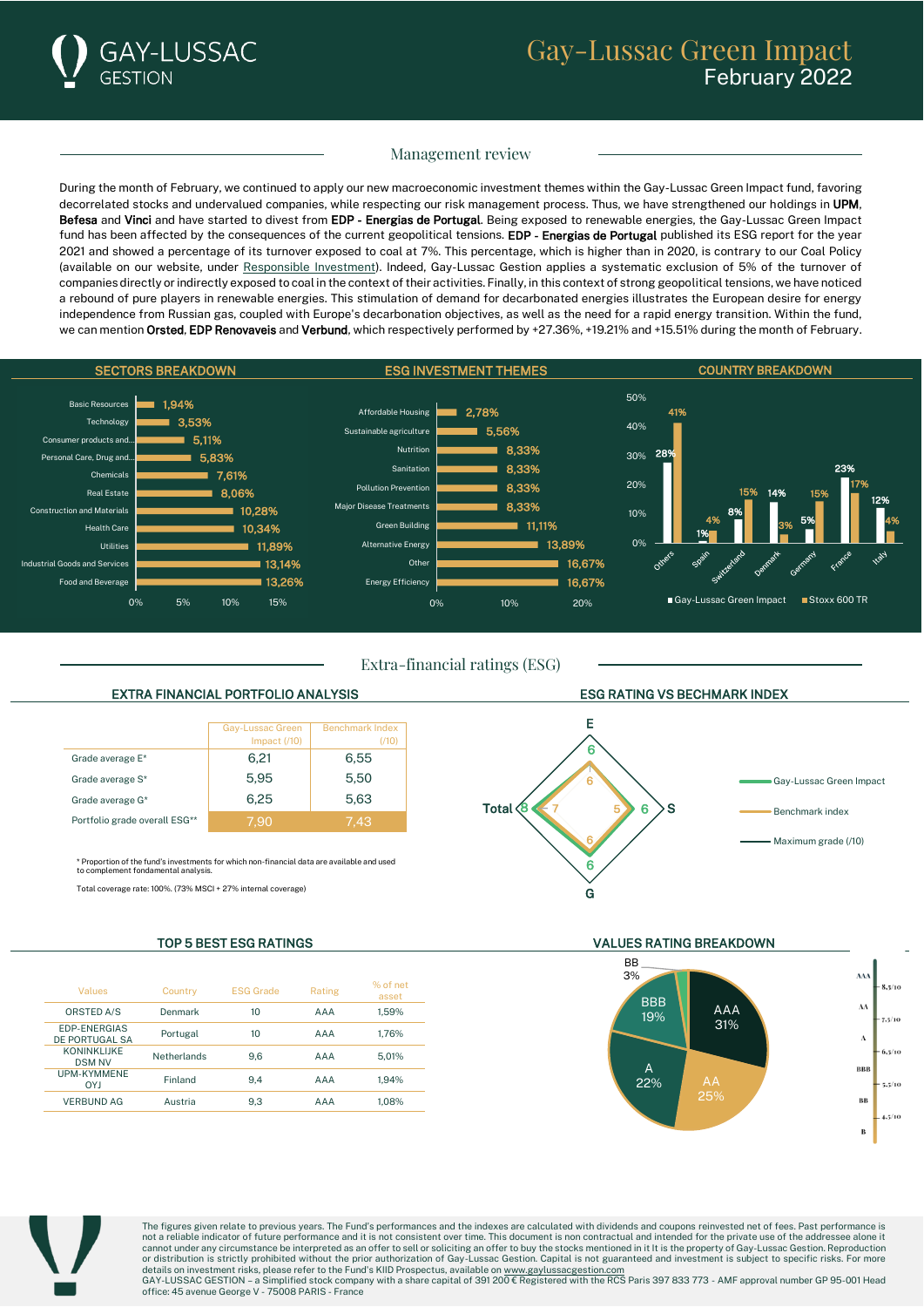

# Management review

During the month of February, we continued to apply our new macroeconomic investment themes within the Gay-Lussac Green Impact fund, favoring decorrelated stocks and undervalued companies, while respecting our risk management process. Thus, we have strengthened our holdings in UPM, Befesa and Vinci and have started to divest from EDP - Energias de Portugal. Being exposed to renewable energies, the Gay-Lussac Green Impact fund has been affected by the consequences of the current geopolitical tensions. EDP - Energias de Portugal published its ESG report for the year 2021 and showed a percentage of its turnover exposed to coal at 7%. This percentage, which is higher than in 2020, is contrary to our Coal Policy (available on our website, under [Responsible Investment\)](https://www.gaylussacgestion.com/en/responsible-investment/). Indeed, Gay-Lussac Gestion applies a systematic exclusion of 5% of the turnover of companies directly or indirectly exposed to coal in the context of their activities. Finally, in this context of strong geopolitical tensions, we have noticed a rebound of pure players in renewable energies. This stimulation of demand for decarbonated energies illustrates the European desire for energy independence from Russian gas, coupled with Europe's decarbonation objectives, as well as the need for a rapid energy transition. Within the fund, we can mention Orsted, EDP Renovaveis and Verbund, which respectively performed by +27.36%, +19.21% and +15.51% during the month of February.



Extra-financial ratings (ESG)

## EXTRA FINANCIAL PORTFOLIO ANALYSIS ESG RATING VS BECHMARK INDEX

|                               | Gay-Lussac Green<br>Impact $(710)$ | <b>Benchmark Index</b><br>(710) |
|-------------------------------|------------------------------------|---------------------------------|
| Grade average E*              | 6.21                               | 6.55                            |
| Grade average S*              | 5.95                               | 5.50                            |
| Grade average G*              | 6.25                               | 5.63                            |
| Portfolio grade overall ESG** | 7.90                               | 7.43                            |

\* Proportion of the fund's investments for which non-financial data are available and used or the rund surrestment.<br>Int fondamental analysis

Total coverage rate: 100%. (73% MSCI + 27% internal coverage)

| Values                              | Country     | <b>ESG Grade</b> | Rating | % of net<br>asset |
|-------------------------------------|-------------|------------------|--------|-------------------|
| <b>ORSTED A/S</b>                   | Denmark     | 10               | AAA    | 1.59%             |
| EDP-ENERGIAS<br>DE PORTUGAL SA      | Portugal    | 10               | AAA    | 1.76%             |
| <b>KONINKLIJKE</b><br><b>DSM NV</b> | Netherlands | 9.6              | AAA    | 5.01%             |
| <b>UPM-KYMMENE</b><br><b>OYJ</b>    | Finland     | 9.4              | AAA    | 1.94%             |
| <b>VERBUND AG</b>                   | Austria     | 9.3              | AAA    | 1.08%             |



E

G

TOP 5 BEST ESG RATINGS VALUES RATING BREAKDOWN





The figures given relate to previous years. The Fund's performances and the indexes are calculated with dividends and coupons reinvested net of fees. Past performance is not a reliable indicator of future performance and it is not consistent over time. This document is non contractual and intended for the private use of the addressee alone it cannot under any circumstance be interpreted as an offer to sell or soliciting an offer to buy the stocks mentioned in it It is the property of Gay-Lussac Gestion. Reproduction or distribution is strictly prohibited without the prior authorization of Gay-Lussac Gestion. Capital is not guaranteed and investment is subject to specific risks. For more details on investment risks, please refer to the Fund's KIID Prospectus, available on <u>www.gaylussacgestion.com</u><br>GAY-LUSSAC GESTION – a Simplified stock company with a share capital of 391 200 € Registered with the RCS Pa

office: 45 avenue George V - 75008 PARIS - France